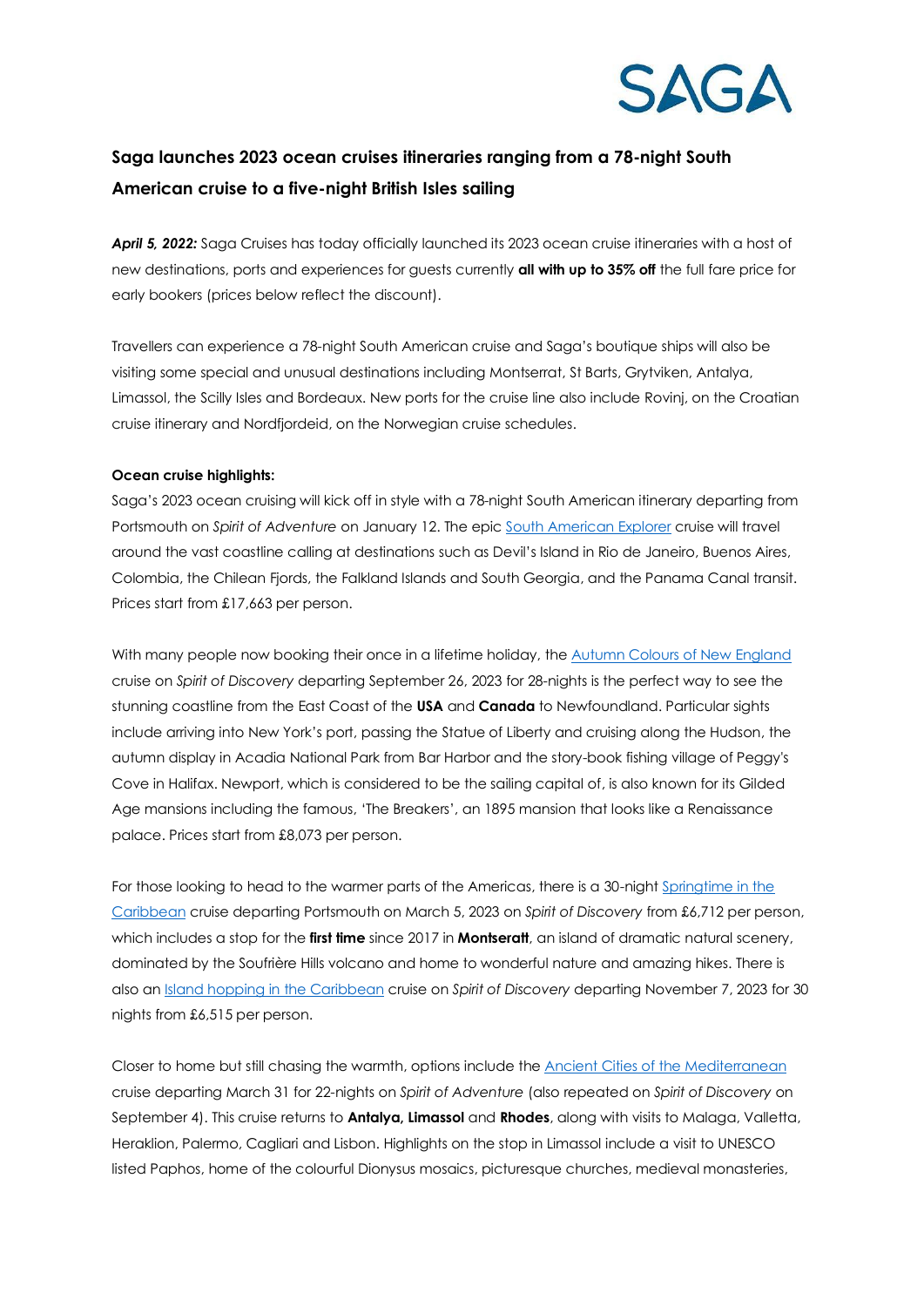

## **Saga launches 2023 ocean cruises itineraries ranging from a 78-night South American cruise to a five-night British Isles sailing**

*April 5, 2022:* Saga Cruises has today officially launched its 2023 ocean cruise itineraries with a host of new destinations, ports and experiences for guests currently **all with up to 35% off** the full fare price for early bookers (prices below reflect the discount).

Travellers can experience a 78-night South American cruise and Saga's boutique ships will also be visiting some special and unusual destinations including Montserrat, St Barts, Grytviken, Antalya, Limassol, the Scilly Isles and Bordeaux. New ports for the cruise line also include Rovinj, on the Croatian cruise itinerary and Nordfjordeid, on the Norwegian cruise schedules.

## **Ocean cruise highlights:**

Saga's 2023 ocean cruising will kick off in style with a 78-night South American itinerary departing from Portsmouth on *Spirit of Adventure* on January 12. The epic [South American Explorer](https://travel.saga.co.uk/cruises/ocean/where-we-go/american-cruises/south-american-explorer.aspx?availability=2&duration=1-999&startdate=01/01/2023&enddate=31/12/2023&boardbasis=AI) cruise will travel around the vast coastline calling at destinations such as Devil's Island in Rio de Janeiro, Buenos Aires, Colombia, the Chilean Fjords, the Falkland Islands and South Georgia, and the Panama Canal transit. Prices start from £17,663 per person.

With many people now booking their once in a lifetime holiday, the [Autumn Colours of New England](https://travel.saga.co.uk/cruises/ocean/where-we-go/american-cruises/autumn-colours-of-new-england.aspx?availability=2&duration=1-999&startdate=01/01/2023&enddate=31/12/2023&boardbasis=AI) cruise on *Spirit of Discovery* departing September 26, 2023 for 28-nights is the perfect way to see the stunning coastline from the East Coast of the **USA** and **Canada** to Newfoundland. Particular sights include arriving into New York's port, passing the Statue of Liberty and cruising along the Hudson, the autumn display in Acadia National Park from Bar Harbor and the story-book fishing village of Peggy's Cove in Halifax. Newport, which is considered to be the sailing capital of, is also known for its Gilded Age mansions including the famous, 'The Breakers', an 1895 mansion that looks like a Renaissance palace. Prices start from £8,073 per person.

For those looking to head to the warmer parts of the Americas, there is a 30-night Springtime in the [Caribbean](https://travel.saga.co.uk/cruises/ocean/where-we-go/caribbean-cruises/springtime-in-the-caribbean.aspx?availability=2&duration=1-999&startdate=01/01/2023&enddate=31/12/2023&boardbasis=AI) cruise departing Portsmouth on March 5, 2023 on *Spirit of Discovery* from £6,712 per person, which includes a stop for the **first time** since 2017 in **Montseratt**, an island of dramatic natural scenery, dominated by the Soufrière Hills volcano and home to wonderful nature and amazing hikes. There is also an [Island hopping in the Caribbean](https://travel.saga.co.uk/cruises/ocean/where-we-go/caribbean-cruises/island-hopping-in-the-caribbean.aspx?availability=2&duration=1-999&startdate=01/01/2023&enddate=31/12/2023&boardbasis=AI) cruise on *Spirit of Discovery* departing November 7, 2023 for 30 nights from £6,515 per person.

Closer to home but still chasing the warmth, options include the [Ancient Cities of the Mediterranean](https://travel.saga.co.uk/cruises/ocean/where-we-go/mediterranean-cruises/ancient-cities-of-the-eastern-mediterranean-2.aspx?availability=2&duration=1-999&startdate=01/01/2023&enddate=31/12/2023&boardbasis=AI) cruise departing March 31 for 22-nights on *Spirit of Adventure* (also repeated on *Spirit of Discovery* on September 4). This cruise returns to **Antalya, Limassol** and **Rhodes**, along with visits to Malaga, Valletta, Heraklion, Palermo, Cagliari and Lisbon. Highlights on the stop in Limassol include a visit to UNESCO listed Paphos, home of the colourful Dionysus mosaics, picturesque churches, medieval monasteries,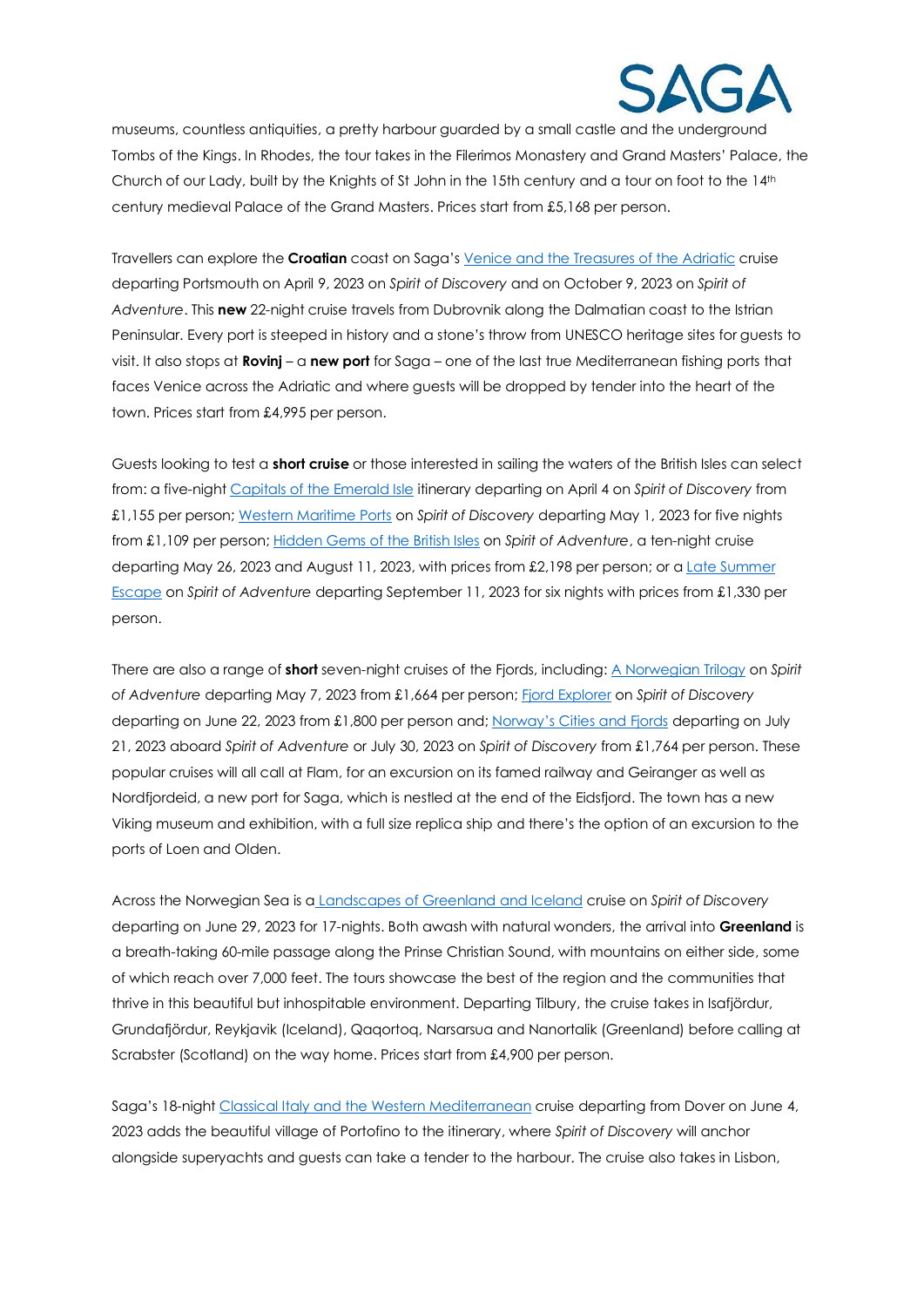

museums, countless antiquities, a pretty harbour guarded by a small castle and the underground Tombs of the Kings. In Rhodes, the tour takes in the Filerimos Monastery and Grand Masters' Palace, the Church of our Lady, built by the Knights of St John in the 15th century and a tour on foot to the 14th century medieval Palace of the Grand Masters. Prices start from £5,168 per person.

Travellers can explore the **Croatian** coast on Saga's [Venice and the Treasures of the Adriatic](https://travel.saga.co.uk/cruises/ocean/where-we-go/mediterranean-cruises/venice-and-the-treasures-of-the-adriatic-1.aspx?availability=2&duration=1-999&startdate=01/01/2023&enddate=31/12/2023&boardbasis=AI) cruise departing Portsmouth on April 9, 2023 on *Spirit of Discovery* and on October 9, 2023 on *Spirit of Adventure*. This **new** 22-night cruise travels from Dubrovnik along the Dalmatian coast to the Istrian Peninsular. Every port is steeped in history and a stone's throw from UNESCO heritage sites for guests to visit. It also stops at **Rovinj** – a **new port** for Saga – one of the last true Mediterranean fishing ports that faces Venice across the Adriatic and where guests will be dropped by tender into the heart of the town. Prices start from £4,995 per person.

Guests looking to test a **short cruise** or those interested in sailing the waters of the British Isles can select from: a five-nigh[t Capitals of the Emerald Isle](https://travel.saga.co.uk/cruises/ocean/where-we-go/british-isles-cruises/capitals-of-the-emerald-isle.aspx?availability=2&duration=1-999&startdate=01/01/2023&enddate=31/12/2023&boardbasis=AI) itinerary departing on April 4 on *Spirit of Discovery* from £1,155 per person; [Western Maritime Ports](https://travel.saga.co.uk/cruises/ocean/where-we-go/british-isles-cruises/western-maritime-ports.aspx?availability=2&duration=1-999&startdate=01/01/2023&enddate=31/12/2023&boardbasis=AI) on *Spirit of Discovery* departing May 1, 2023 for five nights from £1,109 per person; [Hidden Gems of the British Isles](https://travel.saga.co.uk/cruises/ocean/where-we-go/british-isles-cruises/hidden-gems-of-the-british-isles-2.aspx?availability=2&duration=1-999&startdate=01/01/2023&enddate=31/12/2023&boardbasis=AI) on *Spirit of Adventure*, a ten-night cruise departing May 26, 2023 and August 11, 2023, with prices from £2,198 per person; or [a Late Summer](https://travel.saga.co.uk/cruises/ocean/where-we-go/british-isles-cruises/late-summer-escape.aspx?availability=2&duration=1-999&startdate=01/01/2023&enddate=31/12/2023&boardbasis=AI)  [Escape](https://travel.saga.co.uk/cruises/ocean/where-we-go/british-isles-cruises/late-summer-escape.aspx?availability=2&duration=1-999&startdate=01/01/2023&enddate=31/12/2023&boardbasis=AI) on *Spirit of Adventure* departing September 11, 2023 for six nights with prices from £1,330 per person.

There are also a range of **short** seven-night cruises of the Fjords, including: [A Norwegian Trilogy](https://travel.saga.co.uk/cruises/ocean/where-we-go/norway-cruises/a-norwegian-trilogy.aspx?availability=2&duration=1-999&startdate=01/01/2023&enddate=31/12/2023&boardbasis=AI) on *Spirit of Adventure* departing May 7, 2023 from £1,664 per person; [Fjord Explorer](https://travel.saga.co.uk/cruises/ocean/where-we-go/norway-cruises/fjord-explorer.aspx?availability=2&duration=1-999&startdate=01/01/2023&enddate=31/12/2023&boardbasis=AI) on *Spirit of Discovery* departing on June 22, 2023 from £1,800 per person and; [Norway's Cities and Fjords](https://travel.saga.co.uk/cruises/ocean/where-we-go/norway-cruises/norways-cities-and-fjords-1.aspx?availability=2&duration=1-999&startdate=01/01/2023&enddate=31/12/2023&boardbasis=AI) departing on July 21, 2023 aboard *Spirit of Adventure* or July 30, 2023 on *Spirit of Discovery* from £1,764 per person. These popular cruises will all call at Flam, for an excursion on its famed railway and Geiranger as well as Nordfjordeid, a new port for Saga, which is nestled at the end of the Eidsfjord. The town has a new Viking museum and exhibition, with a full size replica ship and there's the option of an excursion to the ports of Loen and Olden.

Across the Norwegian Sea is a [Landscapes of Greenland and Iceland](https://travel.saga.co.uk/cruises/ocean/where-we-go/iceland-cruises/landscapes-of-greenland-and-iceland.aspx?availability=2&duration=1-999&startdate=01/01/2023&enddate=31/12/2023&boardbasis=AI) cruise on *Spirit of Discovery* departing on June 29, 2023 for 17-nights. Both awash with natural wonders, the arrival into **Greenland** is a breath-taking 60-mile passage along the Prinse Christian Sound, with mountains on either side, some of which reach over 7,000 feet. The tours showcase the best of the region and the communities that thrive in this beautiful but inhospitable environment. Departing Tilbury, the cruise takes in Isafjördur, Grundafjördur, Reykjavik (Iceland), Qaqortoq, Narsarsua and Nanortalik (Greenland) before calling at Scrabster (Scotland) on the way home. Prices start from £4,900 per person.

Saga's 18-night [Classical Italy and the Western Mediterranean](https://travel.saga.co.uk/cruises/ocean/where-we-go/mediterranean-cruises/classical-italy-and-the-western-mediterranean.aspx?availability=2&duration=1-999&startdate=01/01/2023&enddate=31/12/2023&boardbasis=AI) cruise departing from Dover on June 4, 2023 adds the beautiful village of Portofino to the itinerary, where *Spirit of Discovery* will anchor alongside superyachts and guests can take a tender to the harbour. The cruise also takes in Lisbon,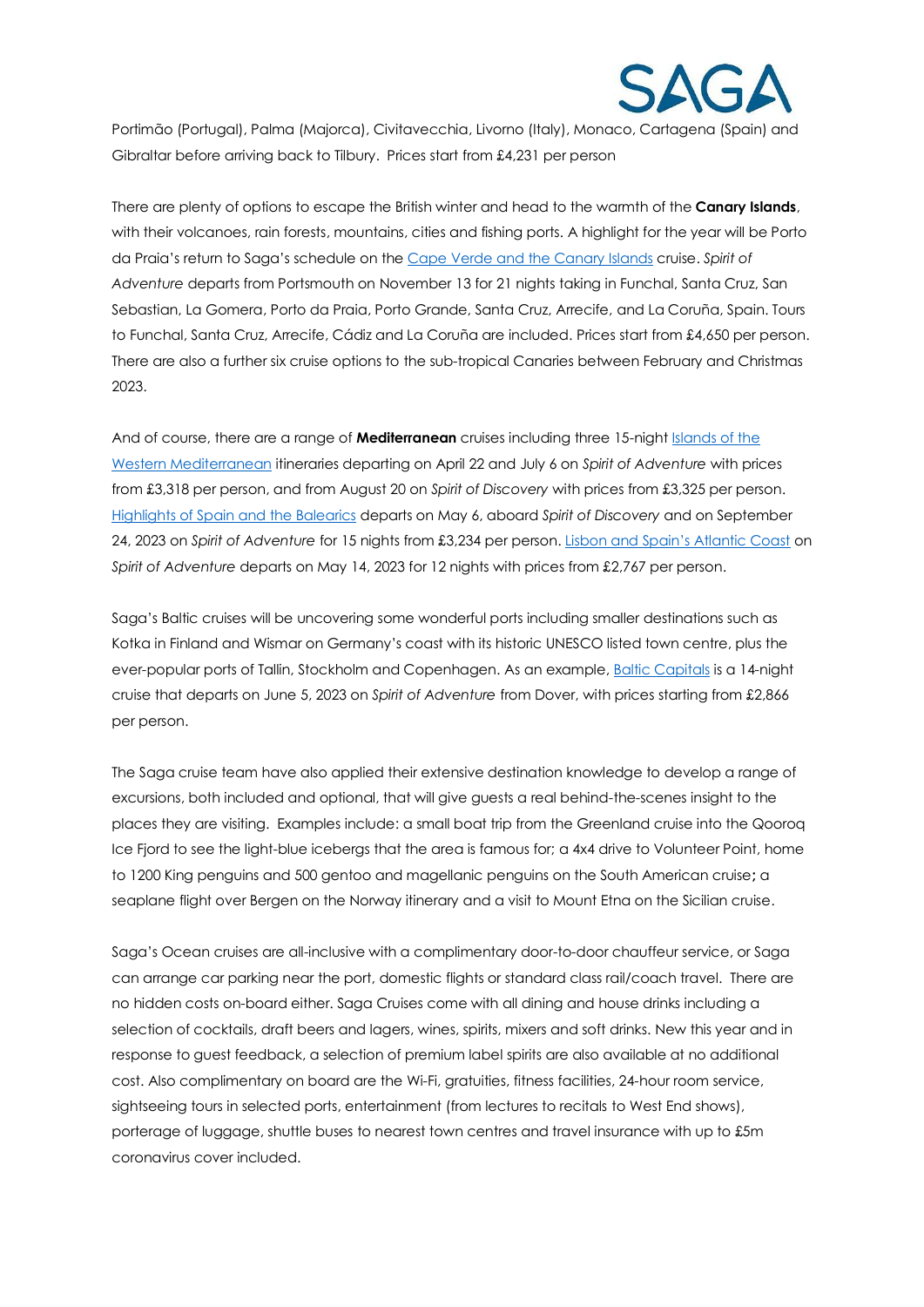

Portimão (Portugal), Palma (Majorca), Civitavecchia, Livorno (Italy), Monaco, Cartagena (Spain) and Gibraltar before arriving back to Tilbury. Prices start from £4,231 per person

There are plenty of options to escape the British winter and head to the warmth of the **Canary Islands**, with their volcanoes, rain forests, mountains, cities and fishing ports. A highlight for the year will be Porto da Praia's return to Saga's schedule on th[e Cape Verde and the Canary Islands](https://travel.saga.co.uk/cruises/ocean/where-we-go/canaries-cruises/cape-verde-and-the-canary-islands.aspx?availability=2&duration=1-999&startdate=01/01/2023&enddate=31/12/2023&boardbasis=AI) cruise. *Spirit of Adventure* departs from Portsmouth on November 13 for 21 nights taking in Funchal, Santa Cruz, San Sebastian, La Gomera, Porto da Praia, Porto Grande, Santa Cruz, Arrecife, and La Coruña, Spain. Tours to Funchal, Santa Cruz, Arrecife, Cádiz and La Coruña are included. Prices start from £4,650 per person. There are also a further six cruise options to the sub-tropical Canaries between February and Christmas 2023.

And of course, there are a range of **Mediterranean** cruises including three 15-night [Islands of the](https://travel.saga.co.uk/cruises/ocean/where-we-go/mediterranean-cruises/islands-of-the-western-mediterranean-2.aspx)  [Western Mediterranean](https://travel.saga.co.uk/cruises/ocean/where-we-go/mediterranean-cruises/islands-of-the-western-mediterranean-2.aspx) itineraries departing on April 22 and July 6 on *Spirit of Adventure* with prices from £3,318 per person, and from August 20 on *Spirit of Discovery* with prices from £3,325 per person. [Highlights of Spain and the Balearics](https://travel.saga.co.uk/cruises/ocean/where-we-go/mediterranean-cruises/highlights-of-spain-and-the-balearics-1.aspx?availability=2&duration=1-999&startdate=01/01/2023&enddate=31/12/2023&boardbasis=AI) departs on May 6, aboard *Spirit of Discovery* and on September 24, 2023 on *Spirit of Adventure* for 15 nights from £3,234 per person. [Lisbon and Spain's Atlantic Coast](https://travel.saga.co.uk/cruises/ocean/where-we-go/european-cruises/lisbon-and-spains-atlantic-coast.aspx?availability=2&duration=1-999&startdate=01/01/2023&enddate=31/12/2023&boardbasis=AI) on *Spirit of Adventure* departs on May 14, 2023 for 12 nights with prices from £2,767 per person.

Saga's Baltic cruises will be uncovering some wonderful ports including smaller destinations such as Kotka in Finland and Wismar on Germany's coast with its historic UNESCO listed town centre, plus the ever-popular ports of Tallin, Stockholm and Copenhagen. As an example[, Baltic Capitals](https://travel.saga.co.uk/cruises/ocean/where-we-go/baltic-cruises/baltic-capitals-2.aspx?availability=2&duration=1-999&startdate=01/01/2023&enddate=31/12/2023&boardbasis=AI) is a 14-night cruise that departs on June 5, 2023 on *Spirit of Adventure* from Dover, with prices starting from £2,866 per person.

The Saga cruise team have also applied their extensive destination knowledge to develop a range of excursions, both included and optional, that will give guests a real behind-the-scenes insight to the places they are visiting. Examples include: a small boat trip from the Greenland cruise into the Qooroq Ice Fjord to see the light-blue icebergs that the area is famous for; a 4x4 drive to Volunteer Point, home to 1200 King penguins and 500 gentoo and magellanic penguins on the South American cruise**;** a seaplane flight over Bergen on the Norway itinerary and a visit to Mount Etna on the Sicilian cruise.

Saga's Ocean cruises are all-inclusive with a complimentary door-to-door chauffeur service, or Saga can arrange car parking near the port, domestic flights or standard class rail/coach travel. There are no hidden costs on-board either. Saga Cruises come with all dining and house drinks including a selection of cocktails, draft beers and lagers, wines, spirits, mixers and soft drinks. New this year and in response to guest feedback, a selection of premium label spirits are also available at no additional cost. Also complimentary on board are the Wi-Fi, gratuities, fitness facilities, 24-hour room service, sightseeing tours in selected ports, entertainment (from lectures to recitals to West End shows), porterage of luggage, shuttle buses to nearest town centres and travel insurance with up to £5m coronavirus cover included.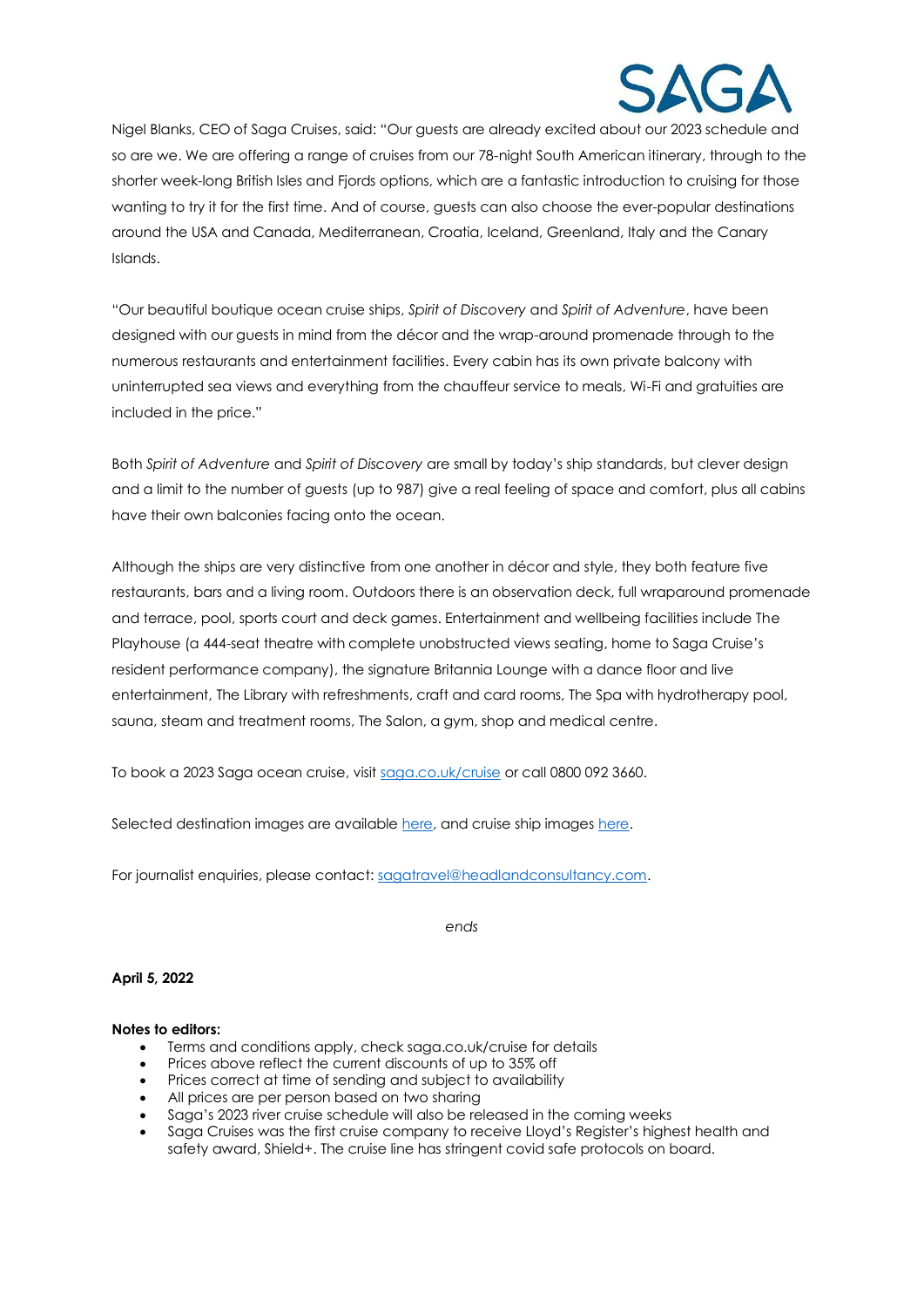

Nigel Blanks, CEO of Saga Cruises, said: "Our guests are already excited about our 2023 schedule and so are we. We are offering a range of cruises from our 78-night South American itinerary, through to the shorter week-long British Isles and Fjords options, which are a fantastic introduction to cruising for those wanting to try it for the first time. And of course, guests can also choose the ever-popular destinations around the USA and Canada, Mediterranean, Croatia, Iceland, Greenland, Italy and the Canary Islands.

"Our beautiful boutique ocean cruise ships, *Spirit of Discovery* and *Spirit of Adventure*, have been designed with our guests in mind from the décor and the wrap-around promenade through to the numerous restaurants and entertainment facilities. Every cabin has its own private balcony with uninterrupted sea views and everything from the chauffeur service to meals, Wi-Fi and gratuities are included in the price."

Both *Spirit of Adventure* and *Spirit of Discovery* are small by today's ship standards, but clever design and a limit to the number of guests (up to 987) give a real feeling of space and comfort, plus all cabins have their own balconies facing onto the ocean.

Although the ships are very distinctive from one another in décor and style, they both feature five restaurants, bars and a living room. Outdoors there is an observation deck, full wraparound promenade and terrace, pool, sports court and deck games. Entertainment and wellbeing facilities include The Playhouse (a 444-seat theatre with complete unobstructed views seating, home to Saga Cruise's resident performance company), the signature Britannia Lounge with a dance floor and live entertainment, The Library with refreshments, craft and card rooms, The Spa with hydrotherapy pool, sauna, steam and treatment rooms, The Salon, a gym, shop and medical centre.

To book a 2023 Saga ocean cruise, visit [saga.co.uk/cruise](https://travel.saga.co.uk/search?0.739688686351309#app-Search-Tags|[{%22type%22:%22p%22,%22value%22:2,%22description%22:%22Passengers%22}]||app-Search-SortBy|Price%20(lowest)||) or call 0800 092 3660.

Selected destination images are available [here,](https://newsroom.saga.co.uk/resources/f/cruise/cruise-destination-images/saga-2023-ocean-cruises) and cruise ship image[s here.](https://newsroom.saga.co.uk/resources/f/cruise/saga-s-ocean-cruise-ships)

For journalist enquiries, please contact: [sagatravel@headlandconsultancy.com.](mailto:sagatravel@headlandconsultancy.com)

*ends*

## **April 5, 2022**

## **Notes to editors:**

- Terms and conditions apply, check saga.co.uk/cruise for details
- Prices above reflect the current discounts of up to 35% off
- Prices correct at time of sending and subject to availability
- All prices are per person based on two sharing
- Saga's 2023 river cruise schedule will also be released in the coming weeks
- Saga Cruises was the first cruise company to receive Lloyd's Register's highest health and safety award, Shield+. The cruise line has stringent covid safe protocols on board.